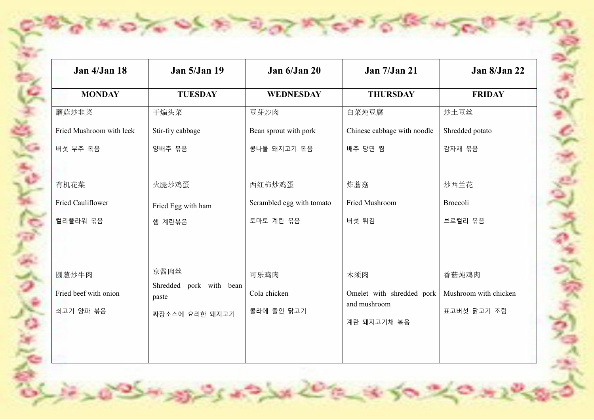| Jan 4/Jan 18             | <b>Jan 5/Jan 19</b>              | Jan 6/Jan 20              | <b>Jan 7/Jan 21</b>         | Jan 8/Jan 22          |
|--------------------------|----------------------------------|---------------------------|-----------------------------|-----------------------|
| <b>MONDAY</b>            | <b>TUESDAY</b>                   | <b>WEDNESDAY</b>          | <b>THURSDAY</b>             | <b>FRIDAY</b>         |
| 蘑菇炒韭菜                    | 干煸头菜                             | 豆芽炒肉                      | 白菜炖豆腐                       | 炒土豆丝                  |
| Fried Mushroom with leek | Stir-fry cabbage                 | Bean sprout with pork     | Chinese cabbage with noodle | Shredded potato       |
| 버섯 부추 볶음                 | 양배추 볶음                           | 콩나물 돼지고기 볶음               | 배추 당면 찜                     | 감자채 볶음                |
|                          |                                  |                           |                             |                       |
| 有机花菜                     | 火腿炒鸡蛋                            | 西红柿炒鸡蛋                    | 炸蘑菇                         | 炒西兰花                  |
| Fried Cauliflower        | Fried Egg with ham               | Scrambled egg with tomato | Fried Mushroom              | Broccoli              |
| 컬리플라워 볶음                 | 햄 계란볶음                           | 토마토 계란 볶음                 | 버섯 튀김                       | 브로컬리 볶음               |
|                          |                                  |                           |                             |                       |
|                          |                                  |                           |                             |                       |
| 圆葱炒牛肉                    | 京酱肉丝                             | 可乐鸡肉                      | 木须肉                         | 香菇炖鸡肉                 |
| Fried beef with onion    | Shredded pork with bean<br>paste | Cola chicken              | Omelet with shredded pork   | Mushroom with chicken |
| 쇠고기 양파 볶음                | 짜장소스에 요리한 돼지고기                   | 콜라에 졸인 닭고기                | and mushroom                | 표고버섯 닭고기 조림           |
|                          |                                  |                           | 계란 돼지고기채 볶음                 |                       |
|                          |                                  |                           |                             |                       |
|                          |                                  |                           |                             |                       |

Yel

いのかぶん

 $0.76$